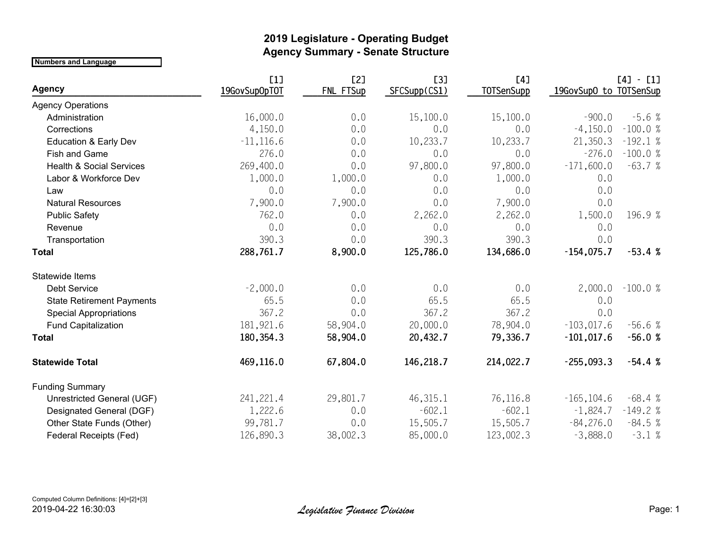## **2019 Legislature - Operating Budget Agency Summary - Senate Structure**

**Numbers and Language**

|                                     | [1]           | [2]       | [3]          | [4]               |                        | $[4] - [1]$ |
|-------------------------------------|---------------|-----------|--------------|-------------------|------------------------|-------------|
| <b>Agency</b>                       | 19GovSupOpTOT | FNL FTSup | SFCSupp(CS1) | <b>TOTSenSupp</b> | 19GovSupO to TOTSenSup |             |
| <b>Agency Operations</b>            |               |           |              |                   |                        |             |
| Administration                      | 16,000.0      | 0.0       | 15,100.0     | 15,100.0          | $-900.0$               | $-5.6%$     |
| Corrections                         | 4,150.0       | 0.0       | 0.0          | 0.0               | $-4,150.0$             | $-100.0%$   |
| <b>Education &amp; Early Dev</b>    | $-11, 116.6$  | 0.0       | 10,233.7     | 10,233.7          | 21,350.3               | $-192.1%$   |
| Fish and Game                       | 276.0         | 0.0       | 0.0          | 0.0               | $-276.0$               | $-100.0%$   |
| <b>Health &amp; Social Services</b> | 269,400.0     | 0.0       | 97,800.0     | 97,800.0          | $-171,600.0$           | $-63.7%$    |
| Labor & Workforce Dev               | 1,000.0       | 1,000.0   | 0.0          | 1,000.0           | 0.0                    |             |
| Law                                 | 0.0           | 0.0       | 0.0          | 0.0               | 0.0                    |             |
| <b>Natural Resources</b>            | 7,900.0       | 7,900.0   | 0.0          | 7,900.0           | 0.0                    |             |
| <b>Public Safety</b>                | 762.0         | 0.0       | 2,262.0      | 2,262.0           | 1,500.0                | 196.9 %     |
| Revenue                             | 0.0           | 0.0       | 0.0          | 0.0               | 0.0                    |             |
| Transportation                      | 390.3         | 0.0       | 390.3        | 390.3             | 0.0                    |             |
| <b>Total</b>                        | 288,761.7     | 8,900.0   | 125,786.0    | 134,686.0         | $-154,075.7$           | $-53.4%$    |
| Statewide Items                     |               |           |              |                   |                        |             |
| <b>Debt Service</b>                 | $-2,000.0$    | 0.0       | 0.0          | 0.0               | 2,000.0                | $-100.0%$   |
| <b>State Retirement Payments</b>    | 65.5          | 0.0       | 65.5         | 65.5              | 0.0                    |             |
| <b>Special Appropriations</b>       | 367.2         | 0.0       | 367.2        | 367.2             | 0.0                    |             |
| <b>Fund Capitalization</b>          | 181,921.6     | 58,904.0  | 20,000.0     | 78,904.0          | $-103,017.6$           | $-56.6%$    |
| <b>Total</b>                        | 180, 354. 3   | 58,904.0  | 20,432.7     | 79,336.7          | $-101,017.6$           | $-56.0%$    |
| <b>Statewide Total</b>              | 469,116.0     | 67,804.0  | 146,218.7    | 214,022.7         | $-255,093.3$           | $-54.4%$    |
| <b>Funding Summary</b>              |               |           |              |                   |                        |             |
| Unrestricted General (UGF)          | 241,221.4     | 29,801.7  | 46,315.1     | 76,116.8          | $-165, 104.6$          | $-68.4%$    |
| Designated General (DGF)            | 1,222.6       | 0.0       | $-602.1$     | $-602.1$          | $-1,824.7$             | $-149.2%$   |
| Other State Funds (Other)           | 99,781.7      | 0.0       | 15,505.7     | 15,505.7          | $-84,276.0$            | $-84.5%$    |
| Federal Receipts (Fed)              | 126,890.3     | 38,002.3  | 85,000.0     | 123,002.3         | $-3,888.0$             | $-3.1%$     |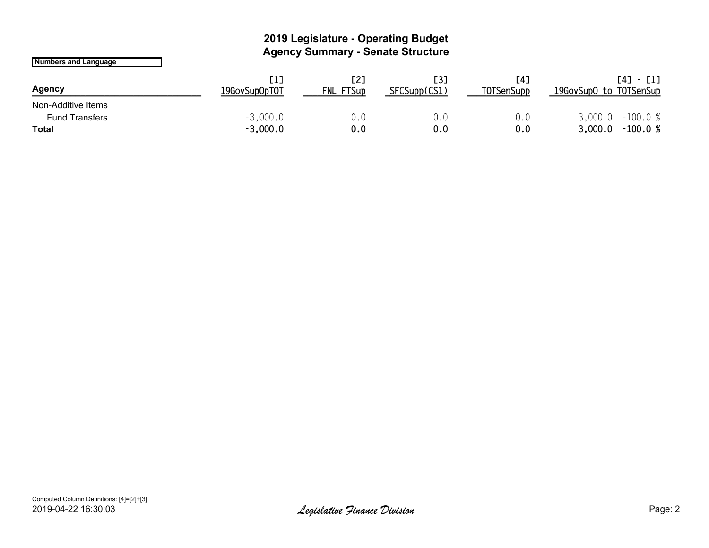## **2019 Legislature - Operating Budget Agency Summary - Senate Structure**

**Numbers and Language**

| Agency                | [1]<br>19GovSupOpTOT | [2]<br>FNL FTSup | [3]<br>SFCSupp(CS1) | [4]<br><b>TOTSenSupp</b> | 19GovSupO to TOTSenSup | $[4] - [1]$ |
|-----------------------|----------------------|------------------|---------------------|--------------------------|------------------------|-------------|
| Non-Additive Items    |                      |                  |                     |                          |                        |             |
| <b>Fund Transfers</b> | $-3,000.0$           | 0.C              | U.O                 | U.O                      | 3,000.0                | $-100.0%$   |
| <b>Total</b>          | $-3,000.0$           | 0.0              | 0.0                 | 0.0                      | 3,000.0                | $-100.0%$   |